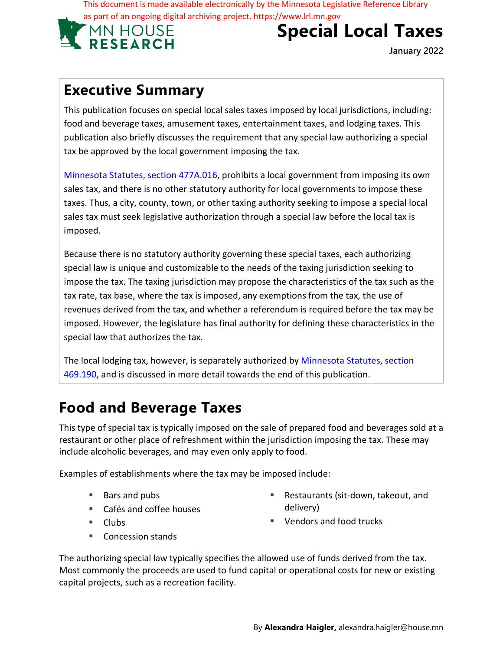This document is made available electronically by the Minnesota Legislative Reference Library as part of an ongoing digital archiving project. https://www.lrl.mn.gov



# **Special Local Taxes**

**January 2022**

#### **Executive Summary**

This publication focuses on special local sales taxes imposed by local jurisdictions, including: food and beverage taxes, amusement taxes, entertainment taxes, and lodging taxes. This publication also briefly discusses the requirement that any special law authorizing a special tax be approved by the local government imposing the tax.

Minnesota Statutes, section 477A.016, prohibits a local government from imposing its own sales tax, and there is no other statutory authority for local governments to impose these taxes. Thus, a city, county, town, or other taxing authority seeking to impose a special local sales tax must seek legislative authorization through a special law before the local tax is imposed.

Because there is no statutory authority governing these special taxes, each authorizing special law is unique and customizable to the needs of the taxing jurisdiction seeking to impose the tax. The taxing jurisdiction may propose the characteristics of the tax such as the tax rate, tax base, where the tax is imposed, any exemptions from the tax, the use of revenues derived from the tax, and whether a referendum is required before the tax may be imposed. However, the legislature has final authority for defining these characteristics in the special law that authorizes the tax.

The local lodging tax, however, is separately authorized by Minnesota Statutes, section 469.190, and is discussed in more detail towards the end of this publication.

## **Food and Beverage Taxes**

This type of special tax is typically imposed on the sale of prepared food and beverages sold at a restaurant or other place of refreshment within the jurisdiction imposing the tax. These may include alcoholic beverages, and may even only apply to food.

Examples of establishments where the tax may be imposed include:

- Bars and pubs
- Cafés and coffee houses
- **Clubs**

■ Restaurants (sit-down, takeout, and delivery)

■ Vendors and food trucks

■ Concession stands

The authorizing special law typically specifies the allowed use of funds derived from the tax. Most commonly the proceeds are used to fund capital or operational costs for new or existing capital projects, such as a recreation facility.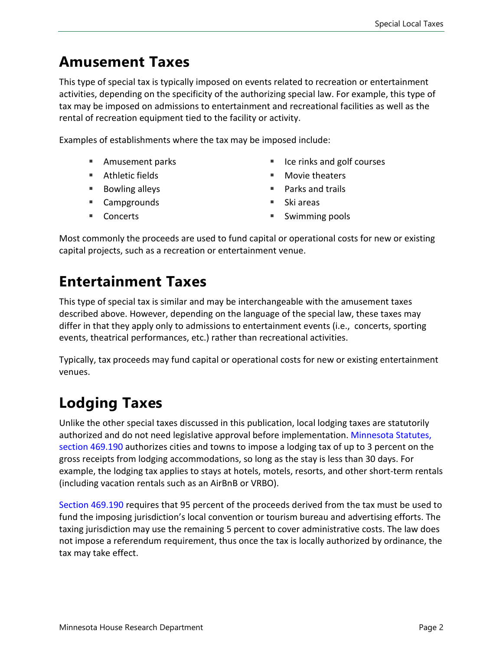#### **Amusement Taxes**

This type of special tax is typically imposed on events related to recreation or entertainment activities, depending on the specificity of the authorizing special law. For example, this type of tax may be imposed on admissions to entertainment and recreational facilities as well as the rental of recreation equipment tied to the facility or activity.

Examples of establishments where the tax may be imposed include:

- Amusement parks
- Athletic fields
- Bowling alleys
- Campgrounds
- Concerts
- Ice rinks and golf courses
- Movie theaters
- Parks and trails
- $\blacksquare$  Ski areas
- Swimming pools

Most commonly the proceeds are used to fund capital or operational costs for new or existing capital projects, such as a recreation or entertainment venue.

#### **Entertainment Taxes**

This type of special tax is similar and may be interchangeable with the amusement taxes described above. However, depending on the language of the special law, these taxes may differ in that they apply only to admissions to entertainment events (i.e., concerts, sporting events, theatrical performances, etc.) rather than recreational activities.

Typically, tax proceeds may fund capital or operational costs for new or existing entertainment venues.

## **Lodging Taxes**

Unlike the other special taxes discussed in this publication, local lodging taxes are statutorily authorized and do not need legislative approval before implementation. [Minnesota Statutes,](https://www.revisor.mn.gov/statutes/cite/469.190)  [section 469.190](https://www.revisor.mn.gov/statutes/cite/469.190) authorizes cities and towns to impose a lodging tax of up to 3 percent on the gross receipts from lodging accommodations, so long as the stay is less than 30 days. For example, the lodging tax applies to stays at hotels, motels, resorts, and other short-term rentals (including vacation rentals such as an AirBnB or VRBO).

[Section 469.190](https://www.revisor.mn.gov/statutes/cite/469.190) requires that 95 percent of the proceeds derived from the tax must be used to fund the imposing jurisdiction's local convention or tourism bureau and advertising efforts. The taxing jurisdiction may use the remaining 5 percent to cover administrative costs. The law does not impose a referendum requirement, thus once the tax is locally authorized by ordinance, the tax may take effect.